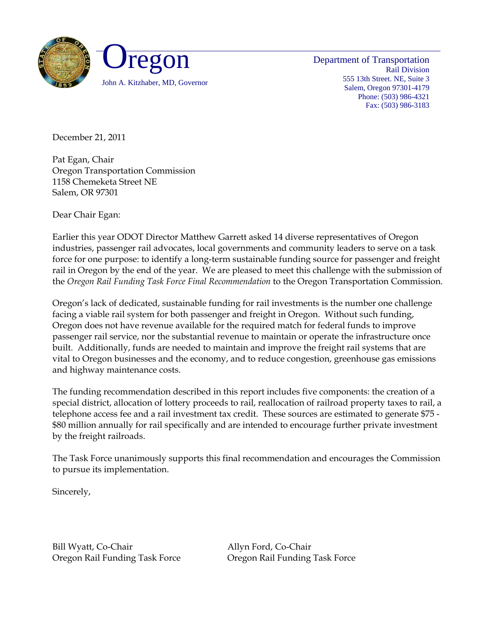

Department of Transportation Rail Division 555 13th Street. NE, Suite 3 Salem, Oregon 97301-4179 Phone: (503) 986-4321 Fax: (503) 986-3183

December 21, 2011

Pat Egan, Chair Oregon Transportation Commission 1158 Chemeketa Street NE Salem, OR 97301

Dear Chair Egan:

Earlier this year ODOT Director Matthew Garrett asked 14 diverse representatives of Oregon industries, passenger rail advocates, local governments and community leaders to serve on a task force for one purpose: to identify a long-term sustainable funding source for passenger and freight rail in Oregon by the end of the year. We are pleased to meet this challenge with the submission of the *Oregon Rail Funding Task Force Final Recommendation* to the Oregon Transportation Commission.

Oregon's lack of dedicated, sustainable funding for rail investments is the number one challenge facing a viable rail system for both passenger and freight in Oregon. Without such funding, Oregon does not have revenue available for the required match for federal funds to improve passenger rail service, nor the substantial revenue to maintain or operate the infrastructure once built. Additionally, funds are needed to maintain and improve the freight rail systems that are vital to Oregon businesses and the economy, and to reduce congestion, greenhouse gas emissions and highway maintenance costs.

The funding recommendation described in this report includes five components: the creation of a special district, allocation of lottery proceeds to rail, reallocation of railroad property taxes to rail, a telephone access fee and a rail investment tax credit. These sources are estimated to generate \$75 - \$80 million annually for rail specifically and are intended to encourage further private investment by the freight railroads.

The Task Force unanimously supports this final recommendation and encourages the Commission to pursue its implementation.

Sincerely,

Bill Wyatt, Co-Chair **Allyn Ford**, Co-Chair Oregon Rail Funding Task Force Oregon Rail Funding Task Force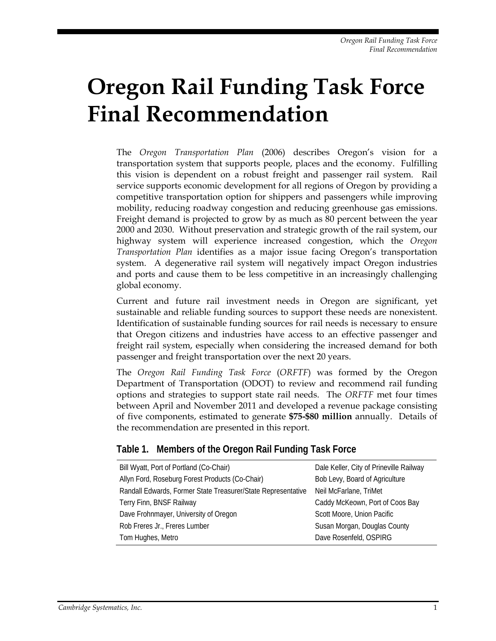# **Oregon Rail Funding Task Force Final Recommendation**

The *Oregon Transportation Plan* (2006) describes Oregon's vision for a transportation system that supports people, places and the economy. Fulfilling this vision is dependent on a robust freight and passenger rail system. Rail service supports economic development for all regions of Oregon by providing a competitive transportation option for shippers and passengers while improving mobility, reducing roadway congestion and reducing greenhouse gas emissions. Freight demand is projected to grow by as much as 80 percent between the year 2000 and 2030. Without preservation and strategic growth of the rail system, our highway system will experience increased congestion, which the *Oregon Transportation Plan* identifies as a major issue facing Oregon's transportation system. A degenerative rail system will negatively impact Oregon industries and ports and cause them to be less competitive in an increasingly challenging global economy.

Current and future rail investment needs in Oregon are significant, yet sustainable and reliable funding sources to support these needs are nonexistent. Identification of sustainable funding sources for rail needs is necessary to ensure that Oregon citizens and industries have access to an effective passenger and freight rail system, especially when considering the increased demand for both passenger and freight transportation over the next 20 years.

The *Oregon Rail Funding Task Force* (*ORFTF*) was formed by the Oregon Department of Transportation (ODOT) to review and recommend rail funding options and strategies to support state rail needs. The *ORFTF* met four times between April and November 2011 and developed a revenue package consisting of five components, estimated to generate **\$75-\$80 million** annually. Details of the recommendation are presented in this report.

#### **Table 1. Members of the Oregon Rail Funding Task Force**

| Bill Wyatt, Port of Portland (Co-Chair)                      | Dale Keller, City of Prineville Railway |  |
|--------------------------------------------------------------|-----------------------------------------|--|
| Allyn Ford, Roseburg Forest Products (Co-Chair)              | Bob Levy, Board of Agriculture          |  |
| Randall Edwards, Former State Treasurer/State Representative | Neil McFarlane, TriMet                  |  |
| Terry Finn, BNSF Railway                                     | Caddy McKeown, Port of Coos Bay         |  |
| Dave Frohnmayer, University of Oregon                        | Scott Moore, Union Pacific              |  |
| Rob Freres Jr., Freres Lumber                                | Susan Morgan, Douglas County            |  |
| Tom Hughes, Metro                                            | Dave Rosenfeld, OSPIRG                  |  |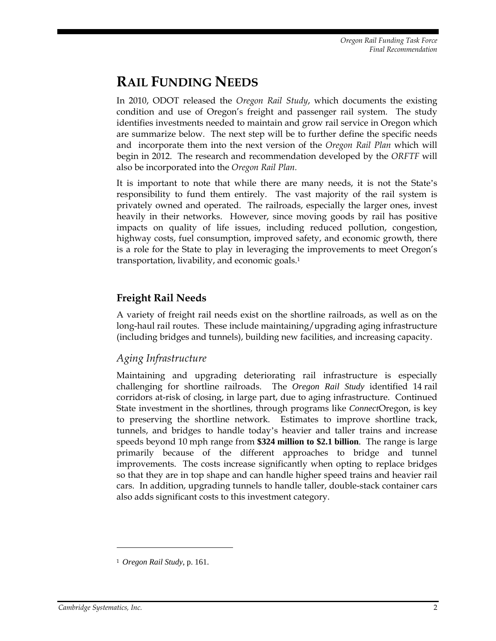## **RAIL FUNDING NEEDS**

In 2010, ODOT released the *Oregon Rail Study*, which documents the existing condition and use of Oregon's freight and passenger rail system. The study identifies investments needed to maintain and grow rail service in Oregon which are summarize below*.* The next step will be to further define the specific needs and incorporate them into the next version of the *Oregon Rail Plan* which will begin in 2012. The research and recommendation developed by the *ORFTF* will also be incorporated into the *Oregon Rail Plan.*

It is important to note that while there are many needs, it is not the State's responsibility to fund them entirely. The vast majority of the rail system is privately owned and operated. The railroads, especially the larger ones, invest heavily in their networks. However, since moving goods by rail has positive impacts on quality of life issues, including reduced pollution, congestion, highway costs, fuel consumption, improved safety, and economic growth, there is a role for the State to play in leveraging the improvements to meet Oregon's transportation, livability, and economic goals.1

#### **Freight Rail Needs**

A variety of freight rail needs exist on the shortline railroads, as well as on the long-haul rail routes. These include maintaining/upgrading aging infrastructure (including bridges and tunnels), building new facilities, and increasing capacity.

#### *Aging Infrastructure*

Maintaining and upgrading deteriorating rail infrastructure is especially challenging for shortline railroads. The *Oregon Rail Study* identified 14 rail corridors at-risk of closing, in large part, due to aging infrastructure. Continued State investment in the shortlines, through programs like *Connect*Oregon, is key to preserving the shortline network. Estimates to improve shortline track, tunnels, and bridges to handle today's heavier and taller trains and increase speeds beyond 10 mph range from **\$324 million to \$2.1 billion**. The range is large primarily because of the different approaches to bridge and tunnel improvements. The costs increase significantly when opting to replace bridges so that they are in top shape and can handle higher speed trains and heavier rail cars. In addition, upgrading tunnels to handle taller, double-stack container cars also adds significant costs to this investment category.

-

<sup>1</sup> *Oregon Rail Study*, p. 161.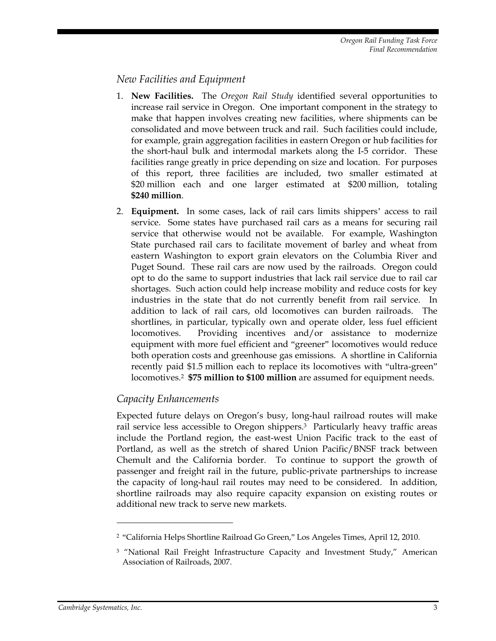#### *New Facilities and Equipment*

- 1. **New Facilities.** The *Oregon Rail Study* identified several opportunities to increase rail service in Oregon. One important component in the strategy to make that happen involves creating new facilities, where shipments can be consolidated and move between truck and rail. Such facilities could include, for example, grain aggregation facilities in eastern Oregon or hub facilities for the short-haul bulk and intermodal markets along the I-5 corridor. These facilities range greatly in price depending on size and location. For purposes of this report, three facilities are included, two smaller estimated at \$20 million each and one larger estimated at \$200 million, totaling **\$240 million**.
- 2. **Equipment.** In some cases, lack of rail cars limits shippers' access to rail service. Some states have purchased rail cars as a means for securing rail service that otherwise would not be available. For example, Washington State purchased rail cars to facilitate movement of barley and wheat from eastern Washington to export grain elevators on the Columbia River and Puget Sound. These rail cars are now used by the railroads. Oregon could opt to do the same to support industries that lack rail service due to rail car shortages. Such action could help increase mobility and reduce costs for key industries in the state that do not currently benefit from rail service. In addition to lack of rail cars, old locomotives can burden railroads. The shortlines, in particular, typically own and operate older, less fuel efficient locomotives. Providing incentives and/or assistance to modernize equipment with more fuel efficient and "greener" locomotives would reduce both operation costs and greenhouse gas emissions. A shortline in California recently paid \$1.5 million each to replace its locomotives with "ultra-green" locomotives.2 **\$75 million to \$100 million** are assumed for equipment needs.

#### *Capacity Enhancements*

Expected future delays on Oregon's busy, long-haul railroad routes will make rail service less accessible to Oregon shippers.3 Particularly heavy traffic areas include the Portland region, the east-west Union Pacific track to the east of Portland, as well as the stretch of shared Union Pacific/BNSF track between Chemult and the California border. To continue to support the growth of passenger and freight rail in the future, public-private partnerships to increase the capacity of long-haul rail routes may need to be considered. In addition, shortline railroads may also require capacity expansion on existing routes or additional new track to serve new markets.

<u>.</u>

<sup>2</sup> "California Helps Shortline Railroad Go Green," Los Angeles Times, April 12, 2010.

<sup>&</sup>lt;sup>3</sup> "National Rail Freight Infrastructure Capacity and Investment Study," American Association of Railroads, 2007.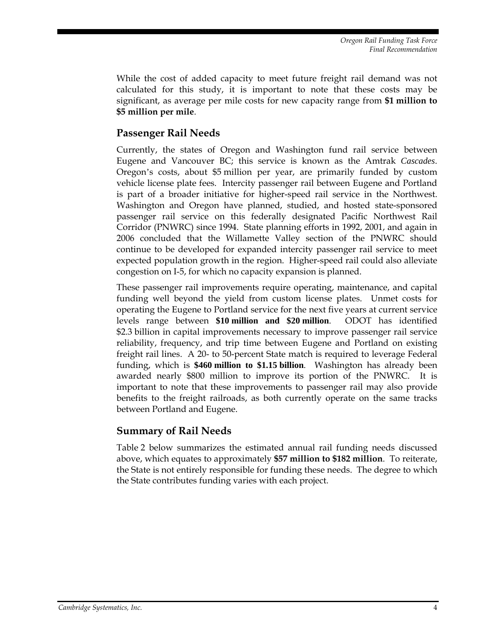While the cost of added capacity to meet future freight rail demand was not calculated for this study, it is important to note that these costs may be significant, as average per mile costs for new capacity range from **\$1 million to \$5 million per mile**.

#### **Passenger Rail Needs**

Currently, the states of Oregon and Washington fund rail service between Eugene and Vancouver BC; this service is known as the Amtrak *Cascades*. Oregon's costs, about \$5 million per year, are primarily funded by custom vehicle license plate fees. Intercity passenger rail between Eugene and Portland is part of a broader initiative for higher-speed rail service in the Northwest. Washington and Oregon have planned, studied, and hosted state-sponsored passenger rail service on this federally designated Pacific Northwest Rail Corridor (PNWRC) since 1994. State planning efforts in 1992, 2001, and again in 2006 concluded that the Willamette Valley section of the PNWRC should continue to be developed for expanded intercity passenger rail service to meet expected population growth in the region. Higher-speed rail could also alleviate congestion on I-5, for which no capacity expansion is planned.

These passenger rail improvements require operating, maintenance, and capital funding well beyond the yield from custom license plates. Unmet costs for operating the Eugene to Portland service for the next five years at current service levels range between **\$10 million and \$20 million**. ODOT has identified \$2.3 billion in capital improvements necessary to improve passenger rail service reliability, frequency, and trip time between Eugene and Portland on existing freight rail lines. A 20- to 50-percent State match is required to leverage Federal funding, which is **\$460 million to \$1.15 billion**. Washington has already been awarded nearly \$800 million to improve its portion of the PNWRC. It is important to note that these improvements to passenger rail may also provide benefits to the freight railroads, as both currently operate on the same tracks between Portland and Eugene.

#### **Summary of Rail Needs**

Table 2 below summarizes the estimated annual rail funding needs discussed above, which equates to approximately **\$57 million to \$182 million**. To reiterate, the State is not entirely responsible for funding these needs. The degree to which the State contributes funding varies with each project.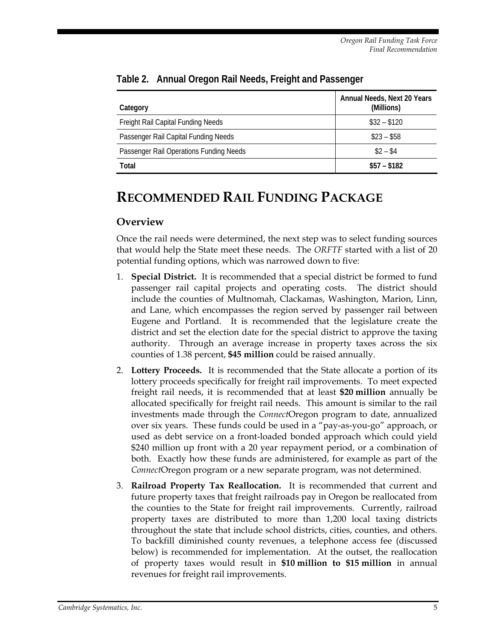| Category                                | Annual Needs, Next 20 Years<br>(Millions) |
|-----------------------------------------|-------------------------------------------|
| Freight Rail Capital Funding Needs      | $$32 - $120$                              |
| Passenger Rail Capital Funding Needs    | $$23 - $58$                               |
| Passenger Rail Operations Funding Needs | $$2 - $4$                                 |
| Total                                   | $$57 - $182$                              |

**Table 2. Annual Oregon Rail Needs, Freight and Passenger** 

## **RECOMMENDED RAIL FUNDING PACKAGE**

#### **Overview**

Once the rail needs were determined, the next step was to select funding sources that would help the State meet these needs. The *ORFTF* started with a list of 20 potential funding options, which was narrowed down to five:

- 1. **Special District.** It is recommended that a special district be formed to fund passenger rail capital projects and operating costs. The district should include the counties of Multnomah, Clackamas, Washington, Marion, Linn, and Lane, which encompasses the region served by passenger rail between Eugene and Portland. It is recommended that the legislature create the district and set the election date for the special district to approve the taxing authority. Through an average increase in property taxes across the six counties of 1.38 percent, **\$45 million** could be raised annually.
- 2. **Lottery Proceeds.** It is recommended that the State allocate a portion of its lottery proceeds specifically for freight rail improvements. To meet expected freight rail needs, it is recommended that at least **\$20 million** annually be allocated specifically for freight rail needs. This amount is similar to the rail investments made through the *Connect*Oregon program to date, annualized over six years. These funds could be used in a "pay-as-you-go" approach, or used as debt service on a front-loaded bonded approach which could yield \$240 million up front with a 20 year repayment period, or a combination of both. Exactly how these funds are administered, for example as part of the *Connect*Oregon program or a new separate program, was not determined.
- 3. **Railroad Property Tax Reallocation.** It is recommended that current and future property taxes that freight railroads pay in Oregon be reallocated from the counties to the State for freight rail improvements. Currently, railroad property taxes are distributed to more than 1,200 local taxing districts throughout the state that include school districts, cities, counties, and others. To backfill diminished county revenues, a telephone access fee (discussed below) is recommended for implementation. At the outset, the reallocation of property taxes would result in **\$10 million to \$15 million** in annual revenues for freight rail improvements.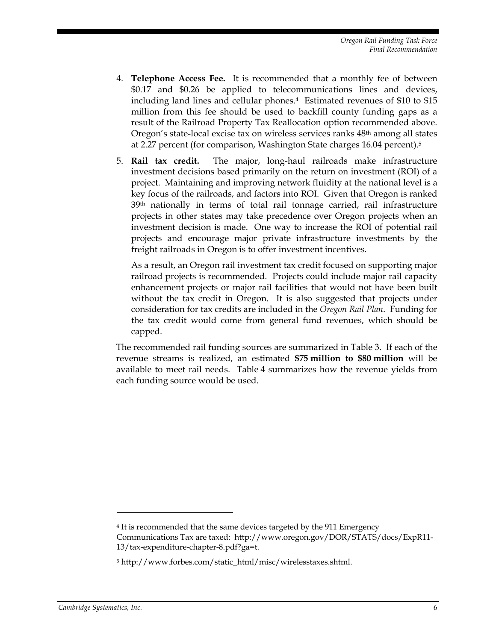- 4. **Telephone Access Fee.** It is recommended that a monthly fee of between \$0.17 and \$0.26 be applied to telecommunications lines and devices, including land lines and cellular phones.4 Estimated revenues of \$10 to \$15 million from this fee should be used to backfill county funding gaps as a result of the Railroad Property Tax Reallocation option recommended above. Oregon's state-local excise tax on wireless services ranks 48<sup>th</sup> among all states at 2.27 percent (for comparison, Washington State charges 16.04 percent).5
- 5. **Rail tax credit.** The major, long-haul railroads make infrastructure investment decisions based primarily on the return on investment (ROI) of a project. Maintaining and improving network fluidity at the national level is a key focus of the railroads, and factors into ROI. Given that Oregon is ranked 39th nationally in terms of total rail tonnage carried, rail infrastructure projects in other states may take precedence over Oregon projects when an investment decision is made. One way to increase the ROI of potential rail projects and encourage major private infrastructure investments by the freight railroads in Oregon is to offer investment incentives.

As a result, an Oregon rail investment tax credit focused on supporting major railroad projects is recommended. Projects could include major rail capacity enhancement projects or major rail facilities that would not have been built without the tax credit in Oregon. It is also suggested that projects under consideration for tax credits are included in the *Oregon Rail Plan*. Funding for the tax credit would come from general fund revenues, which should be capped.

The recommended rail funding sources are summarized in Table 3. If each of the revenue streams is realized, an estimated **\$75 million to \$80 million** will be available to meet rail needs. Table 4 summarizes how the revenue yields from each funding source would be used.

<u>.</u>

<sup>4</sup> It is recommended that the same devices targeted by the 911 Emergency Communications Tax are taxed: http://www.oregon.gov/DOR/STATS/docs/ExpR11- 13/tax-expenditure-chapter-8.pdf?ga=t.

<sup>5</sup> http://www.forbes.com/static\_html/misc/wirelesstaxes.shtml.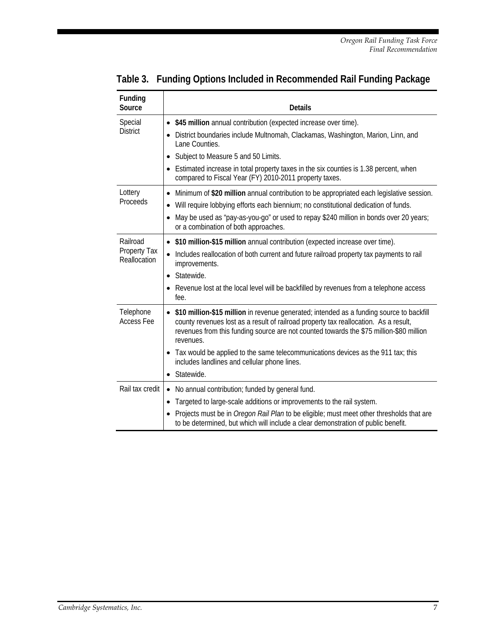| Funding<br>Source                        | <b>Details</b>                                                                                                                                                                                                                                                                                                                             |
|------------------------------------------|--------------------------------------------------------------------------------------------------------------------------------------------------------------------------------------------------------------------------------------------------------------------------------------------------------------------------------------------|
| Special                                  | \$45 million annual contribution (expected increase over time).<br>$\bullet$                                                                                                                                                                                                                                                               |
| <b>District</b>                          | District boundaries include Multnomah, Clackamas, Washington, Marion, Linn, and<br>٠<br>Lane Counties.                                                                                                                                                                                                                                     |
|                                          | Subject to Measure 5 and 50 Limits.<br>٠                                                                                                                                                                                                                                                                                                   |
|                                          | Estimated increase in total property taxes in the six counties is 1.38 percent, when<br>compared to Fiscal Year (FY) 2010-2011 property taxes.                                                                                                                                                                                             |
| Lottery<br>Proceeds                      | Minimum of \$20 million annual contribution to be appropriated each legislative session.<br>$\bullet$<br>Will require lobbying efforts each biennium; no constitutional dedication of funds.<br>$\bullet$<br>May be used as "pay-as-you-go" or used to repay \$240 million in bonds over 20 years;<br>or a combination of both approaches. |
| Railroad<br>Property Tax<br>Reallocation | \$10 million-\$15 million annual contribution (expected increase over time).                                                                                                                                                                                                                                                               |
|                                          | Includes reallocation of both current and future railroad property tax payments to rail<br>$\bullet$<br>improvements.                                                                                                                                                                                                                      |
|                                          | Statewide.<br>$\bullet$                                                                                                                                                                                                                                                                                                                    |
|                                          | Revenue lost at the local level will be backfilled by revenues from a telephone access<br>$\bullet$<br>fee.                                                                                                                                                                                                                                |
| Telephone<br><b>Access Fee</b>           | \$10 million-\$15 million in revenue generated; intended as a funding source to backfill<br>county revenues lost as a result of railroad property tax reallocation. As a result,<br>revenues from this funding source are not counted towards the \$75 million-\$80 million<br>revenues.                                                   |
|                                          | Tax would be applied to the same telecommunications devices as the 911 tax; this<br>includes landlines and cellular phone lines.                                                                                                                                                                                                           |
|                                          | Statewide.<br>$\bullet$                                                                                                                                                                                                                                                                                                                    |
| Rail tax credit                          | No annual contribution; funded by general fund.<br>$\bullet$                                                                                                                                                                                                                                                                               |
|                                          | Targeted to large-scale additions or improvements to the rail system.<br>٠                                                                                                                                                                                                                                                                 |
|                                          | Projects must be in Oregon Rail Plan to be eligible; must meet other thresholds that are<br>٠<br>to be determined, but which will include a clear demonstration of public benefit.                                                                                                                                                         |

**Table 3. Funding Options Included in Recommended Rail Funding Package**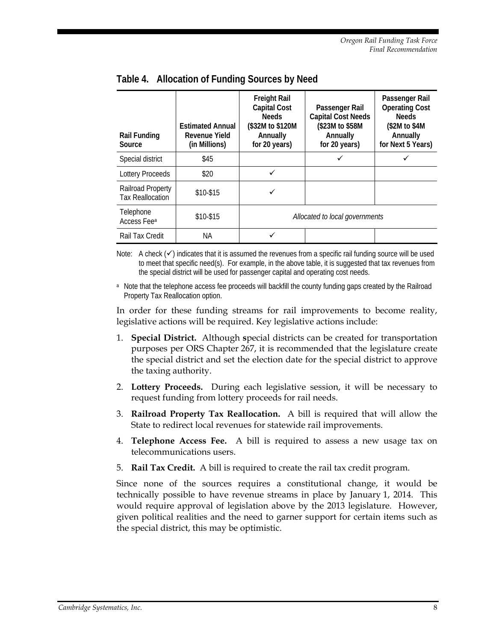| <b>Rail Funding</b><br>Source                | <b>Estimated Annual</b><br>Revenue Yield<br>(in Millions) | <b>Freight Rail</b><br><b>Capital Cost</b><br><b>Needs</b><br>(\$32M to \$120M<br>Annually<br>for 20 years) | Passenger Rail<br><b>Capital Cost Needs</b><br>(\$23M to \$58M<br>Annually<br>for 20 years) | Passenger Rail<br><b>Operating Cost</b><br><b>Needs</b><br>\$2M to \$4M\$<br>Annually<br>for Next 5 Years) |
|----------------------------------------------|-----------------------------------------------------------|-------------------------------------------------------------------------------------------------------------|---------------------------------------------------------------------------------------------|------------------------------------------------------------------------------------------------------------|
| Special district                             | \$45                                                      |                                                                                                             |                                                                                             |                                                                                                            |
| Lottery Proceeds                             | \$20                                                      | ✓                                                                                                           |                                                                                             |                                                                                                            |
| Railroad Property<br><b>Tax Reallocation</b> | \$10-\$15                                                 |                                                                                                             |                                                                                             |                                                                                                            |
| Telephone<br>Access Fee <sup>a</sup>         | \$10-\$15                                                 | Allocated to local governments                                                                              |                                                                                             |                                                                                                            |
| Rail Tax Credit                              | ΝA                                                        | ✓                                                                                                           |                                                                                             |                                                                                                            |

**Table 4. Allocation of Funding Sources by Need**

Note: A check  $(\checkmark)$  indicates that it is assumed the revenues from a specific rail funding source will be used to meet that specific need(s). For example, in the above table, it is suggested that tax revenues from the special district will be used for passenger capital and operating cost needs.

<sup>a</sup> Note that the telephone access fee proceeds will backfill the county funding gaps created by the Railroad Property Tax Reallocation option.

In order for these funding streams for rail improvements to become reality, legislative actions will be required. Key legislative actions include:

- 1. **Special District.** Although **s**pecial districts can be created for transportation purposes per ORS Chapter 267, it is recommended that the legislature create the special district and set the election date for the special district to approve the taxing authority.
- 2. **Lottery Proceeds.** During each legislative session, it will be necessary to request funding from lottery proceeds for rail needs.
- 3. **Railroad Property Tax Reallocation.** A bill is required that will allow the State to redirect local revenues for statewide rail improvements.
- 4. **Telephone Access Fee.** A bill is required to assess a new usage tax on telecommunications users.
- 5. **Rail Tax Credit.** A bill is required to create the rail tax credit program.

Since none of the sources requires a constitutional change, it would be technically possible to have revenue streams in place by January 1, 2014. This would require approval of legislation above by the 2013 legislature. However, given political realities and the need to garner support for certain items such as the special district, this may be optimistic.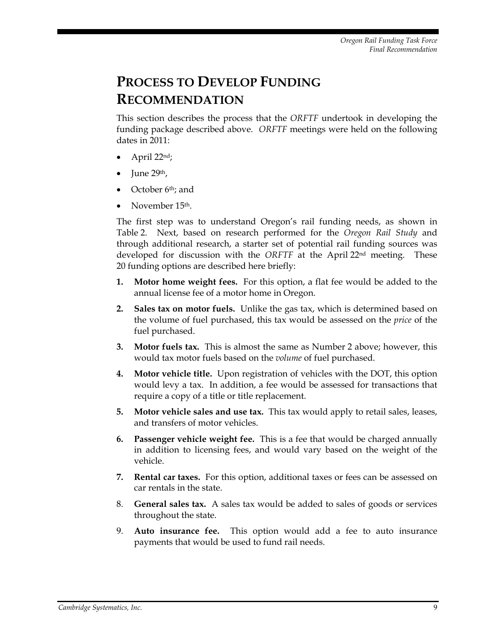# **PROCESS TO DEVELOP FUNDING RECOMMENDATION**

This section describes the process that the *ORFTF* undertook in developing the funding package described above. *ORFTF* meetings were held on the following dates in 2011:

- April 22nd;
- June 29th,
- October 6<sup>th</sup>; and
- November 15th.

The first step was to understand Oregon's rail funding needs, as shown in Table 2. Next, based on research performed for the *Oregon Rail Study* and through additional research, a starter set of potential rail funding sources was developed for discussion with the *ORFTF* at the April 22nd meeting. These 20 funding options are described here briefly:

- **1. Motor home weight fees.** For this option, a flat fee would be added to the annual license fee of a motor home in Oregon.
- **2. Sales tax on motor fuels.** Unlike the gas tax, which is determined based on the volume of fuel purchased, this tax would be assessed on the *price* of the fuel purchased.
- **3. Motor fuels tax.** This is almost the same as Number 2 above; however, this would tax motor fuels based on the *volume* of fuel purchased.
- **4. Motor vehicle title.** Upon registration of vehicles with the DOT, this option would levy a tax. In addition, a fee would be assessed for transactions that require a copy of a title or title replacement.
- **5. Motor vehicle sales and use tax.** This tax would apply to retail sales, leases, and transfers of motor vehicles.
- **6. Passenger vehicle weight fee.** This is a fee that would be charged annually in addition to licensing fees, and would vary based on the weight of the vehicle.
- **7. Rental car taxes.** For this option, additional taxes or fees can be assessed on car rentals in the state.
- 8. **General sales tax.** A sales tax would be added to sales of goods or services throughout the state.
- 9. **Auto insurance fee.** This option would add a fee to auto insurance payments that would be used to fund rail needs.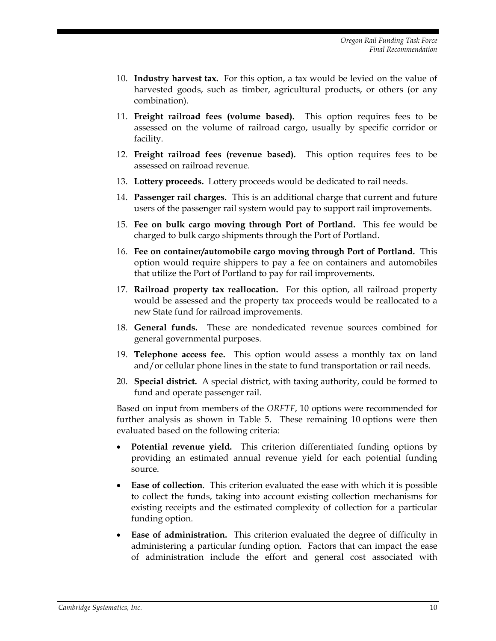- 10. **Industry harvest tax.** For this option, a tax would be levied on the value of harvested goods, such as timber, agricultural products, or others (or any combination).
- 11. **Freight railroad fees (volume based).** This option requires fees to be assessed on the volume of railroad cargo, usually by specific corridor or facility.
- 12. **Freight railroad fees (revenue based).** This option requires fees to be assessed on railroad revenue.
- 13. **Lottery proceeds.** Lottery proceeds would be dedicated to rail needs.
- 14. **Passenger rail charges.** This is an additional charge that current and future users of the passenger rail system would pay to support rail improvements.
- 15. **Fee on bulk cargo moving through Port of Portland.** This fee would be charged to bulk cargo shipments through the Port of Portland.
- 16. **Fee on container/automobile cargo moving through Port of Portland.** This option would require shippers to pay a fee on containers and automobiles that utilize the Port of Portland to pay for rail improvements.
- 17. **Railroad property tax reallocation.** For this option, all railroad property would be assessed and the property tax proceeds would be reallocated to a new State fund for railroad improvements.
- 18. **General funds.** These are nondedicated revenue sources combined for general governmental purposes.
- 19. **Telephone access fee.** This option would assess a monthly tax on land and/or cellular phone lines in the state to fund transportation or rail needs.
- 20. **Special district.** A special district, with taxing authority, could be formed to fund and operate passenger rail.

Based on input from members of the *ORFTF*, 10 options were recommended for further analysis as shown in Table 5. These remaining 10 options were then evaluated based on the following criteria:

- **Potential revenue yield.** This criterion differentiated funding options by providing an estimated annual revenue yield for each potential funding source.
- **Ease of collection**. This criterion evaluated the ease with which it is possible to collect the funds, taking into account existing collection mechanisms for existing receipts and the estimated complexity of collection for a particular funding option.
- **Ease of administration.** This criterion evaluated the degree of difficulty in administering a particular funding option. Factors that can impact the ease of administration include the effort and general cost associated with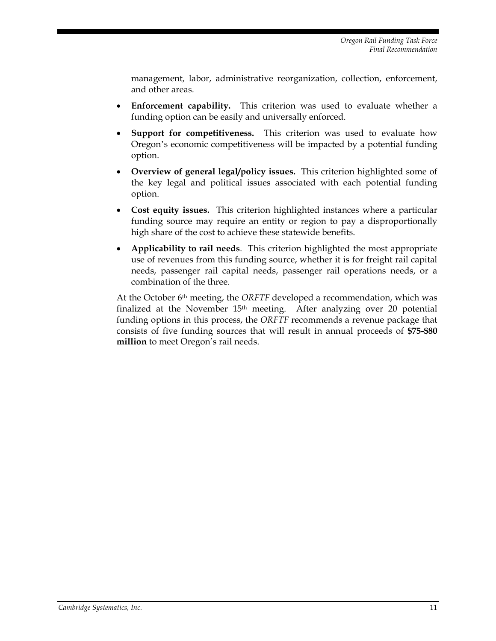management, labor, administrative reorganization, collection, enforcement, and other areas.

- **Enforcement capability.** This criterion was used to evaluate whether a funding option can be easily and universally enforced.
- **Support for competitiveness.** This criterion was used to evaluate how Oregon's economic competitiveness will be impacted by a potential funding option.
- **Overview of general legal/policy issues.** This criterion highlighted some of the key legal and political issues associated with each potential funding option.
- **Cost equity issues.** This criterion highlighted instances where a particular funding source may require an entity or region to pay a disproportionally high share of the cost to achieve these statewide benefits.
- **Applicability to rail needs**. This criterion highlighted the most appropriate use of revenues from this funding source, whether it is for freight rail capital needs, passenger rail capital needs, passenger rail operations needs, or a combination of the three.

At the October 6th meeting, the *ORFTF* developed a recommendation, which was finalized at the November 15<sup>th</sup> meeting. After analyzing over 20 potential funding options in this process, the *ORFTF* recommends a revenue package that consists of five funding sources that will result in annual proceeds of **\$75-\$80 million** to meet Oregon's rail needs.